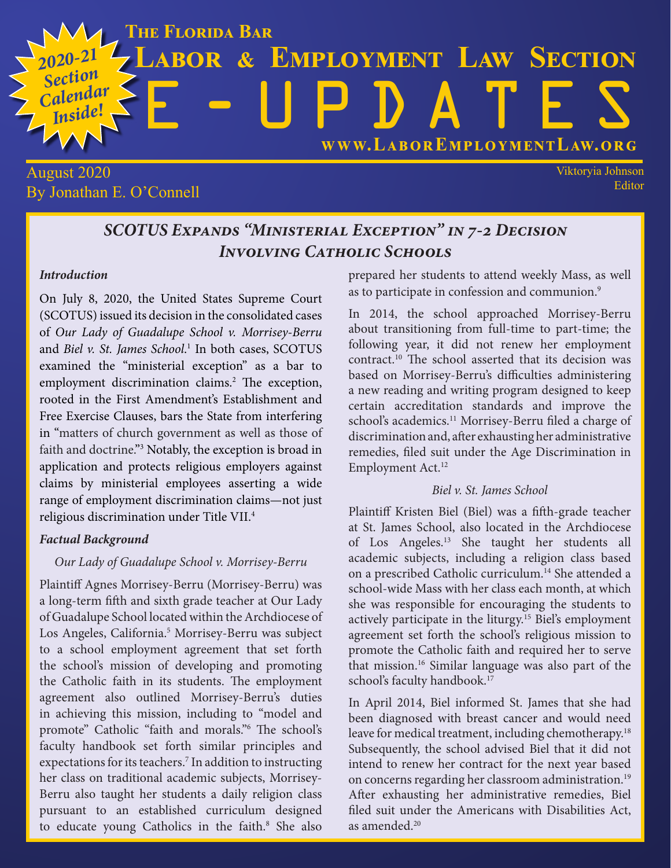

### August 2020 By Jonathan E. O'Connell

Viktoryia Johnson Editor

## *SCOTUS Expands "Ministerial Exception" in 7-2 Decision Involving Catholic Schools*

#### *Introduction*

On July 8, 2020, the United States Supreme Court (SCOTUS) issued its decision in the consolidated cases of *Our Lady of Guadalupe School v. Morrisey-Berru*  and *Biel v. St. James School*. 1 In both cases, SCOTUS examined the "ministerial exception" as a bar to employment discrimination claims.<sup>2</sup> The exception, rooted in the First Amendment's Establishment and Free Exercise Clauses, bars the State from interfering in "matters of church government as well as those of faith and doctrine."3 Notably, the exception is broad in application and protects religious employers against claims by ministerial employees asserting a wide range of employment discrimination claims—not just religious discrimination under Title VII.4

#### *Factual Background*

#### *Our Lady of Guadalupe School v. Morrisey-Berru*

Plaintiff Agnes Morrisey-Berru (Morrisey-Berru) was a long-term fifth and sixth grade teacher at Our Lady of Guadalupe School located within the Archdiocese of Los Angeles, California.<sup>5</sup> Morrisey-Berru was subject to a school employment agreement that set forth the school's mission of developing and promoting the Catholic faith in its students. The employment agreement also outlined Morrisey-Berru's duties in achieving this mission, including to "model and promote" Catholic "faith and morals."6 The school's faculty handbook set forth similar principles and expectations for its teachers.<sup>7</sup> In addition to instructing her class on traditional academic subjects, Morrisey-Berru also taught her students a daily religion class pursuant to an established curriculum designed to educate young Catholics in the faith.<sup>8</sup> She also prepared her students to attend weekly Mass, as well as to participate in confession and communion.<sup>9</sup>

In 2014, the school approached Morrisey-Berru about transitioning from full-time to part-time; the following year, it did not renew her employment contract.10 The school asserted that its decision was based on Morrisey-Berru's difficulties administering a new reading and writing program designed to keep certain accreditation standards and improve the school's academics.<sup>11</sup> Morrisey-Berru filed a charge of discrimination and, after exhausting her administrative remedies, filed suit under the Age Discrimination in Employment Act.<sup>12</sup>

#### *Biel v. St. James School*

Plaintiff Kristen Biel (Biel) was a fifth-grade teacher at St. James School, also located in the Archdiocese of Los Angeles.13 She taught her students all academic subjects, including a religion class based on a prescribed Catholic curriculum.14 She attended a school-wide Mass with her class each month, at which she was responsible for encouraging the students to actively participate in the liturgy.15 Biel's employment agreement set forth the school's religious mission to promote the Catholic faith and required her to serve that mission.16 Similar language was also part of the school's faculty handbook.<sup>17</sup>

In April 2014, Biel informed St. James that she had been diagnosed with breast cancer and would need leave for medical treatment, including chemotherapy.<sup>18</sup> Subsequently, the school advised Biel that it did not intend to renew her contract for the next year based on concerns regarding her classroom administration.19 After exhausting her administrative remedies, Biel filed suit under the Americans with Disabilities Act, as amended.20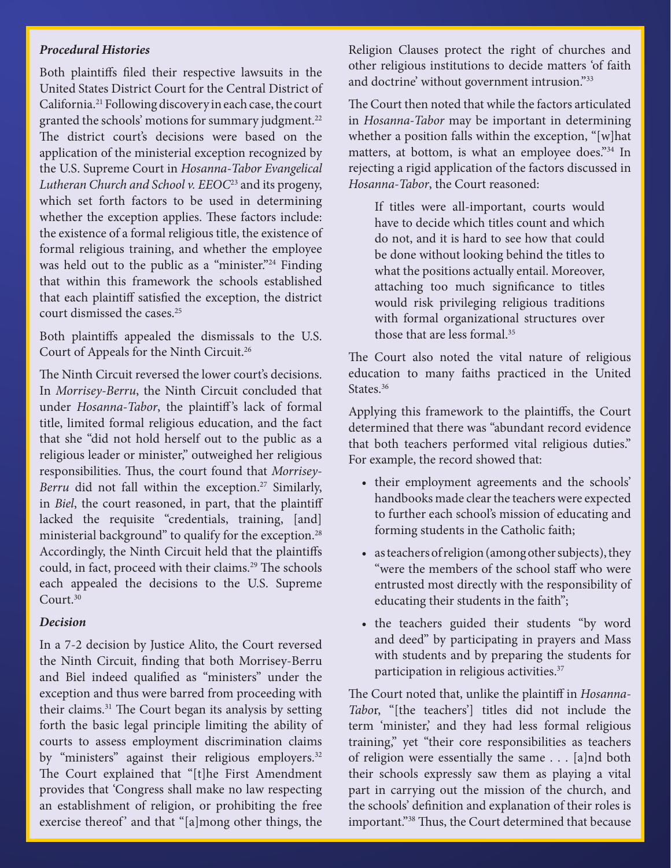#### *Procedural Histories*

Both plaintiffs filed their respective lawsuits in the United States District Court for the Central District of California.21 Following discovery in each case, the court granted the schools' motions for summary judgment.<sup>22</sup> The district court's decisions were based on the application of the ministerial exception recognized by the U.S. Supreme Court in *Hosanna-Tabor Evangelical Lutheran Church and School v. EEOC*23 and its progeny, which set forth factors to be used in determining whether the exception applies. These factors include: the existence of a formal religious title, the existence of formal religious training, and whether the employee was held out to the public as a "minister."<sup>24</sup> Finding that within this framework the schools established that each plaintiff satisfied the exception, the district court dismissed the cases.<sup>25</sup>

Both plaintiffs appealed the dismissals to the U.S. Court of Appeals for the Ninth Circuit.26

The Ninth Circuit reversed the lower court's decisions. In *Morrisey-Berru*, the Ninth Circuit concluded that under *Hosanna-Tabor*, the plaintiff's lack of formal title, limited formal religious education, and the fact that she "did not hold herself out to the public as a religious leader or minister," outweighed her religious responsibilities. Thus, the court found that *Morrisey-Berru* did not fall within the exception.<sup>27</sup> Similarly, in *Biel*, the court reasoned, in part, that the plaintiff lacked the requisite "credentials, training, [and] ministerial background" to qualify for the exception.<sup>28</sup> Accordingly, the Ninth Circuit held that the plaintiffs could, in fact, proceed with their claims.<sup>29</sup> The schools each appealed the decisions to the U.S. Supreme Court.30

#### *Decision*

In a 7-2 decision by Justice Alito, the Court reversed the Ninth Circuit, finding that both Morrisey-Berru and Biel indeed qualified as "ministers" under the exception and thus were barred from proceeding with their claims.<sup>31</sup> The Court began its analysis by setting forth the basic legal principle limiting the ability of courts to assess employment discrimination claims by "ministers" against their religious employers.<sup>32</sup> The Court explained that "[t]he First Amendment provides that 'Congress shall make no law respecting an establishment of religion, or prohibiting the free exercise thereof' and that "[a]mong other things, the Religion Clauses protect the right of churches and other religious institutions to decide matters 'of faith and doctrine' without government intrusion."33

The Court then noted that while the factors articulated in *Hosanna-Tabor* may be important in determining whether a position falls within the exception, "[w]hat matters, at bottom, is what an employee does."34 In rejecting a rigid application of the factors discussed in *Hosanna-Tabor*, the Court reasoned:

If titles were all-important, courts would have to decide which titles count and which do not, and it is hard to see how that could be done without looking behind the titles to what the positions actually entail. Moreover, attaching too much significance to titles would risk privileging religious traditions with formal organizational structures over those that are less formal.<sup>35</sup>

The Court also noted the vital nature of religious education to many faiths practiced in the United States.<sup>36</sup>

Applying this framework to the plaintiffs, the Court determined that there was "abundant record evidence that both teachers performed vital religious duties." For example, the record showed that:

- their employment agreements and the schools' handbooks made clear the teachers were expected to further each school's mission of educating and forming students in the Catholic faith;
- as teachers of religion (among other subjects), they "were the members of the school staff who were entrusted most directly with the responsibility of educating their students in the faith";
- the teachers guided their students "by word and deed" by participating in prayers and Mass with students and by preparing the students for participation in religious activities.37

The Court noted that, unlike the plaintiff in *Hosanna-Tabo*r, "[the teachers'] titles did not include the term 'minister,' and they had less formal religious training," yet "their core responsibilities as teachers of religion were essentially the same . . . [a]nd both their schools expressly saw them as playing a vital part in carrying out the mission of the church, and the schools' definition and explanation of their roles is important."38 Thus, the Court determined that because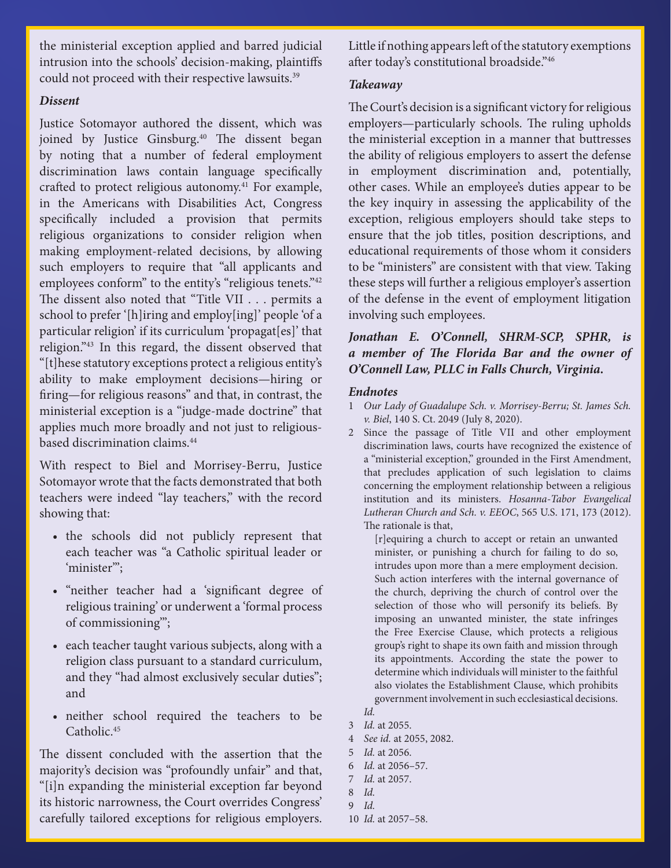the ministerial exception applied and barred judicial intrusion into the schools' decision-making, plaintiffs could not proceed with their respective lawsuits.<sup>39</sup>

#### *Dissent*

Justice Sotomayor authored the dissent, which was joined by Justice Ginsburg.40 The dissent began by noting that a number of federal employment discrimination laws contain language specifically crafted to protect religious autonomy.<sup>41</sup> For example, in the Americans with Disabilities Act, Congress specifically included a provision that permits religious organizations to consider religion when making employment-related decisions, by allowing such employers to require that "all applicants and employees conform" to the entity's "religious tenets."<sup>42</sup> The dissent also noted that "Title VII . . . permits a school to prefer '[h]iring and employ[ing]' people 'of a particular religion' if its curriculum 'propagat[es]' that religion."43 In this regard, the dissent observed that "[t]hese statutory exceptions protect a religious entity's ability to make employment decisions—hiring or firing—for religious reasons" and that, in contrast, the ministerial exception is a "judge-made doctrine" that applies much more broadly and not just to religiousbased discrimination claims.44

With respect to Biel and Morrisey-Berru, Justice Sotomayor wrote that the facts demonstrated that both teachers were indeed "lay teachers," with the record showing that:

- the schools did not publicly represent that each teacher was "a Catholic spiritual leader or 'minister'";
- "neither teacher had a 'significant degree of religious training' or underwent a 'formal process of commissioning'";
- each teacher taught various subjects, along with a religion class pursuant to a standard curriculum, and they "had almost exclusively secular duties"; and
- neither school required the teachers to be Catholic.<sup>45</sup>

The dissent concluded with the assertion that the majority's decision was "profoundly unfair" and that, "[i]n expanding the ministerial exception far beyond its historic narrowness, the Court overrides Congress' carefully tailored exceptions for religious employers.

Little if nothing appears left of the statutory exemptions after today's constitutional broadside."46

#### *Takeaway*

The Court's decision is a significant victory for religious employers—particularly schools. The ruling upholds the ministerial exception in a manner that buttresses the ability of religious employers to assert the defense in employment discrimination and, potentially, other cases. While an employee's duties appear to be the key inquiry in assessing the applicability of the exception, religious employers should take steps to ensure that the job titles, position descriptions, and educational requirements of those whom it considers to be "ministers" are consistent with that view. Taking these steps will further a religious employer's assertion of the defense in the event of employment litigation involving such employees.

#### *Jonathan E. O'Connell, SHRM-SCP, SPHR, is a member of The Florida Bar and the owner of O'Connell Law, PLLC in Falls Church, Virginia.*

#### *Endnotes*

- 1 *Our Lady of Guadalupe Sch. v. Morrisey-Berru; St. James Sch. v. Biel*, 140 S. Ct. 2049 (July 8, 2020).
- 2 Since the passage of Title VII and other employment discrimination laws, courts have recognized the existence of a "ministerial exception," grounded in the First Amendment, that precludes application of such legislation to claims concerning the employment relationship between a religious institution and its ministers. *Hosanna-Tabor Evangelical Lutheran Church and Sch. v. EEOC*, 565 U.S. 171, 173 (2012). The rationale is that,

[r]equiring a church to accept or retain an unwanted minister, or punishing a church for failing to do so, intrudes upon more than a mere employment decision. Such action interferes with the internal governance of the church, depriving the church of control over the selection of those who will personify its beliefs. By imposing an unwanted minister, the state infringes the Free Exercise Clause, which protects a religious group's right to shape its own faith and mission through its appointments. According the state the power to determine which individuals will minister to the faithful also violates the Establishment Clause, which prohibits government involvement in such ecclesiastical decisions.

- 4 *See id.* at 2055, 2082.
- 5 *Id.* at 2056.
- 6 *Id.* at 2056–57.
- 7 *Id.* at 2057.
- 8 *Id.*
- 9 *Id.*
- 10 *Id.* at 2057–58.

*Id.*

<sup>3</sup> *Id.* at 2055.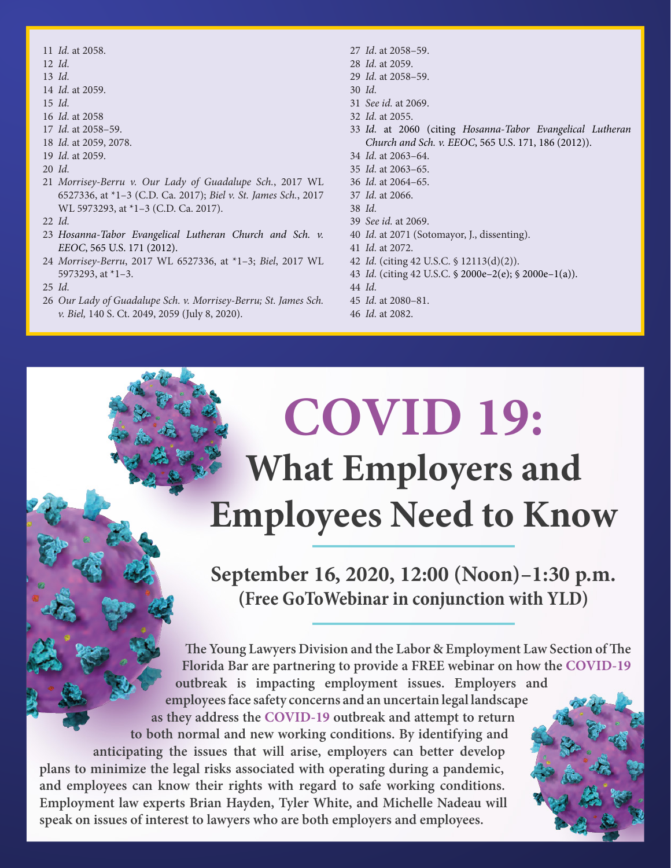- *Id.* at 2058.
- *Id.*
- *Id.*
- *Id.* at 2059.
- *Id.*
- *Id.* at 2058
- *Id.* at 2058–59.
- *Id.* at 2059, 2078.
- *Id.* at 2059.
- *Id.*
- *Morrisey-Berru v. Our Lady of Guadalupe Sch.*, 2017 WL 6527336, at \*1–3 (C.D. Ca. 2017); *Biel v. St. James Sch.*, 2017 WL 5973293, at \*1–3 (C.D. Ca. 2017).
- *Id.*
- *Hosanna-Tabor Evangelical Lutheran Church and Sch. v. EEOC*, 565 U.S. 171 (2012).
- *Morrisey-Berru*, 2017 WL 6527336, at \*1–3; *Biel*, 2017 WL 5973293, at \*1–3.
- *Id.*
- *Our Lady of Guadalupe Sch. v. Morrisey-Berru; St. James Sch. v. Biel,* 140 S. Ct. 2049, 2059 (July 8, 2020).
- *Id*. at 2058–59.
- *Id.* at 2059.
- *Id.* at 2058–59.
- *Id.*
- *See id.* at 2069.
- *Id.* at 2055.
- *Id.* at 2060 (citing *Hosanna-Tabor Evangelical Lutheran Church and Sch. v. EEOC*, 565 U.S. 171, 186 (2012)).
- *Id.* at 2063–64.
- *Id.* at 2063–65.
- *Id.* at 2064–65.
- *Id.* at 2066.
- *Id.*
- *See id.* at 2069.
- *Id.* at 2071 (Sotomayor, J., dissenting).
- *Id.* at 2072.
- *Id.* (citing 42 U.S.C. § 12113(d)(2)).
- *Id.* (citing 42 U.S.C. § 2000e–2(e); § 2000e–1(a)).
- *Id.*
- *Id.* at 2080–81.
- *Id.* at 2082.

# **COVID 19: What Employers and Employees Need to Know**

**September 16, 2020, 12:00 (Noon)–1:30 p.m. (Free GoToWebinar in conjunction with YLD)**

**The Young Lawyers Division and the Labor & Employment Law Section of The Florida Bar are partnering to provide a FREE webinar on how the COVID-19 outbreak is impacting employment issues. Employers and employees face safety concerns and an uncertain legal landscape as they address the COVID-19 outbreak and attempt to return to both normal and new working conditions. By identifying and anticipating the issues that will arise, employers can better develop plans to minimize the legal risks associated with operating during a pandemic, and employees can know their rights with regard to safe working conditions. Employment law experts Brian Hayden, Tyler White, and Michelle Nadeau will speak on issues of interest to lawyers who are both employers and employees.**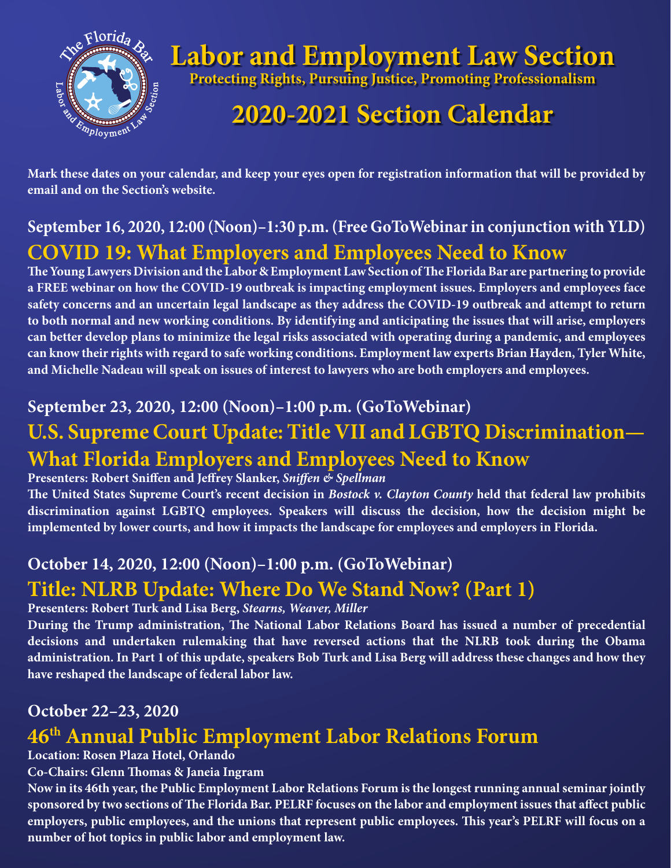

## **Labor and Employment Law Section**

**Protecting Rights, Pursuing Justice, Promoting Professionalism**

## **2020-2021 Section Calendar**

**Mark these dates on your calendar, and keep your eyes open for registration information that will be provided by email and on the Section's website.**

## **September 16, 2020, 12:00 (Noon)–1:30 p.m. (Free GoToWebinar in conjunction with YLD) COVID 19: What Employers and Employees Need to Know**

**The Young Lawyers Division and the Labor & Employment Law Section of The Florida Bar are partnering to provide a FREE webinar on how the COVID-19 outbreak is impacting employment issues. Employers and employees face safety concerns and an uncertain legal landscape as they address the COVID-19 outbreak and attempt to return to both normal and new working conditions. By identifying and anticipating the issues that will arise, employers can better develop plans to minimize the legal risks associated with operating during a pandemic, and employees can know their rights with regard to safe working conditions. Employment law experts Brian Hayden, Tyler White, and Michelle Nadeau will speak on issues of interest to lawyers who are both employers and employees.**

## **September 23, 2020, 12:00 (Noon)–1:00 p.m. (GoToWebinar)**

## **U.S. Supreme Court Update: Title VII and LGBTQ Discrimination— What Florida Employers and Employees Need to Know**

#### **Presenters: Robert Sniffen and Jeffrey Slanker,** *Sniffen & Spellman*

**The United States Supreme Court's recent decision in** *Bostock v. Clayton County* **held that federal law prohibits discrimination against LGBTQ employees. Speakers will discuss the decision, how the decision might be implemented by lower courts, and how it impacts the landscape for employees and employers in Florida.**

## **October 14, 2020, 12:00 (Noon)–1:00 p.m. (GoToWebinar)**

## **Title: NLRB Update: Where Do We Stand Now? (Part 1)**

**Presenters: Robert Turk and Lisa Berg,** *Stearns, Weaver, Miller*

**During the Trump administration, The National Labor Relations Board has issued a number of precedential decisions and undertaken rulemaking that have reversed actions that the NLRB took during the Obama administration. In Part 1 of this update, speakers Bob Turk and Lisa Berg will address these changes and how they have reshaped the landscape of federal labor law.**

## **October 22–23, 2020**

## **46th Annual Public Employment Labor Relations Forum**

#### **Location: Rosen Plaza Hotel, Orlando**

**Co-Chairs: Glenn Thomas & Janeia Ingram**

**Now in its 46th year, the Public Employment Labor Relations Forum is the longest running annual seminar jointly sponsored by two sections of The Florida Bar. PELRF focuses on the labor and employment issues that affect public employers, public employees, and the unions that represent public employees. This year's PELRF will focus on a number of hot topics in public labor and employment law.**